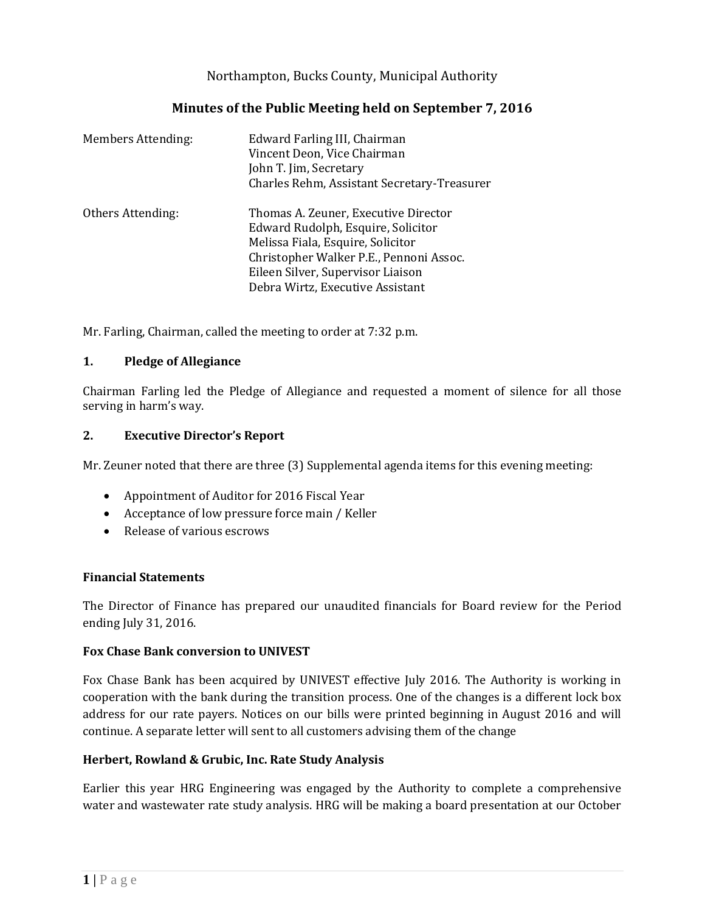Northampton, Bucks County, Municipal Authority

# **Minutes of the Public Meeting held on September 7, 2016**

| <b>Members Attending:</b> | Edward Farling III, Chairman<br>Vincent Deon, Vice Chairman<br>John T. Jim, Secretary<br>Charles Rehm, Assistant Secretary-Treasurer                                                                                                |
|---------------------------|-------------------------------------------------------------------------------------------------------------------------------------------------------------------------------------------------------------------------------------|
| Others Attending:         | Thomas A. Zeuner, Executive Director<br>Edward Rudolph, Esquire, Solicitor<br>Melissa Fiala, Esquire, Solicitor<br>Christopher Walker P.E., Pennoni Assoc.<br>Eileen Silver, Supervisor Liaison<br>Debra Wirtz, Executive Assistant |

Mr. Farling, Chairman, called the meeting to order at 7:32 p.m.

## **1. Pledge of Allegiance**

Chairman Farling led the Pledge of Allegiance and requested a moment of silence for all those serving in harm's way.

## **2. Executive Director's Report**

Mr. Zeuner noted that there are three (3) Supplemental agenda items for this evening meeting:

- Appointment of Auditor for 2016 Fiscal Year
- Acceptance of low pressure force main / Keller
- Release of various escrows

## **Financial Statements**

The Director of Finance has prepared our unaudited financials for Board review for the Period ending July 31, 2016.

## **Fox Chase Bank conversion to UNIVEST**

Fox Chase Bank has been acquired by UNIVEST effective July 2016. The Authority is working in cooperation with the bank during the transition process. One of the changes is a different lock box address for our rate payers. Notices on our bills were printed beginning in August 2016 and will continue. A separate letter will sent to all customers advising them of the change

## **Herbert, Rowland & Grubic, Inc. Rate Study Analysis**

Earlier this year HRG Engineering was engaged by the Authority to complete a comprehensive water and wastewater rate study analysis. HRG will be making a board presentation at our October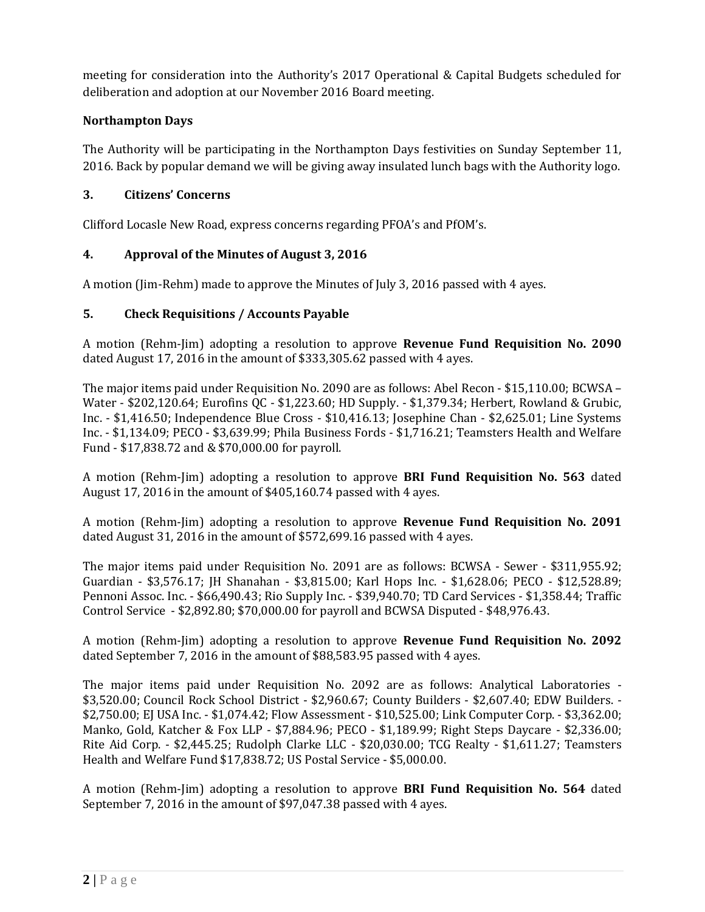meeting for consideration into the Authority's 2017 Operational & Capital Budgets scheduled for deliberation and adoption at our November 2016 Board meeting.

## **Northampton Days**

The Authority will be participating in the Northampton Days festivities on Sunday September 11, 2016. Back by popular demand we will be giving away insulated lunch bags with the Authority logo.

## **3. Citizens' Concerns**

Clifford Locasle New Road, express concerns regarding PFOA's and PfOM's.

## **4. Approval of the Minutes of August 3, 2016**

A motion (Jim-Rehm) made to approve the Minutes of July 3, 2016 passed with 4 ayes.

## **5. Check Requisitions / Accounts Payable**

A motion (Rehm-Jim) adopting a resolution to approve **Revenue Fund Requisition No. 2090** dated August 17, 2016 in the amount of \$333,305.62 passed with 4 ayes.

The major items paid under Requisition No. 2090 are as follows: Abel Recon - \$15,110.00; BCWSA – Water - \$202,120.64; Eurofins QC - \$1,223.60; HD Supply. - \$1,379.34; Herbert, Rowland & Grubic, Inc. - \$1,416.50; Independence Blue Cross - \$10,416.13; Josephine Chan - \$2,625.01; Line Systems Inc. - \$1,134.09; PECO - \$3,639.99; Phila Business Fords - \$1,716.21; Teamsters Health and Welfare Fund - \$17,838.72 and & \$70,000.00 for payroll.

A motion (Rehm-Jim) adopting a resolution to approve **BRI Fund Requisition No. 563** dated August 17, 2016 in the amount of \$405,160.74 passed with 4 ayes.

A motion (Rehm-Jim) adopting a resolution to approve **Revenue Fund Requisition No. 2091** dated August 31, 2016 in the amount of \$572,699.16 passed with 4 ayes.

The major items paid under Requisition No. 2091 are as follows: BCWSA - Sewer - \$311,955.92; Guardian - \$3,576.17; JH Shanahan - \$3,815.00; Karl Hops Inc. - \$1,628.06; PECO - \$12,528.89; Pennoni Assoc. Inc. - \$66,490.43; Rio Supply Inc. - \$39,940.70; TD Card Services - \$1,358.44; Traffic Control Service - \$2,892.80; \$70,000.00 for payroll and BCWSA Disputed - \$48,976.43.

A motion (Rehm-Jim) adopting a resolution to approve **Revenue Fund Requisition No. 2092** dated September 7, 2016 in the amount of \$88,583.95 passed with 4 ayes.

The major items paid under Requisition No. 2092 are as follows: Analytical Laboratories - \$3,520.00; Council Rock School District - \$2,960.67; County Builders - \$2,607.40; EDW Builders. - \$2,750.00; EJ USA Inc. - \$1,074.42; Flow Assessment - \$10,525.00; Link Computer Corp. - \$3,362.00; Manko, Gold, Katcher & Fox LLP - \$7,884.96; PECO - \$1,189.99; Right Steps Daycare - \$2,336.00; Rite Aid Corp. - \$2,445.25; Rudolph Clarke LLC - \$20,030.00; TCG Realty - \$1,611.27; Teamsters Health and Welfare Fund \$17,838.72; US Postal Service - \$5,000.00.

A motion (Rehm-Jim) adopting a resolution to approve **BRI Fund Requisition No. 564** dated September 7, 2016 in the amount of \$97,047.38 passed with 4 ayes.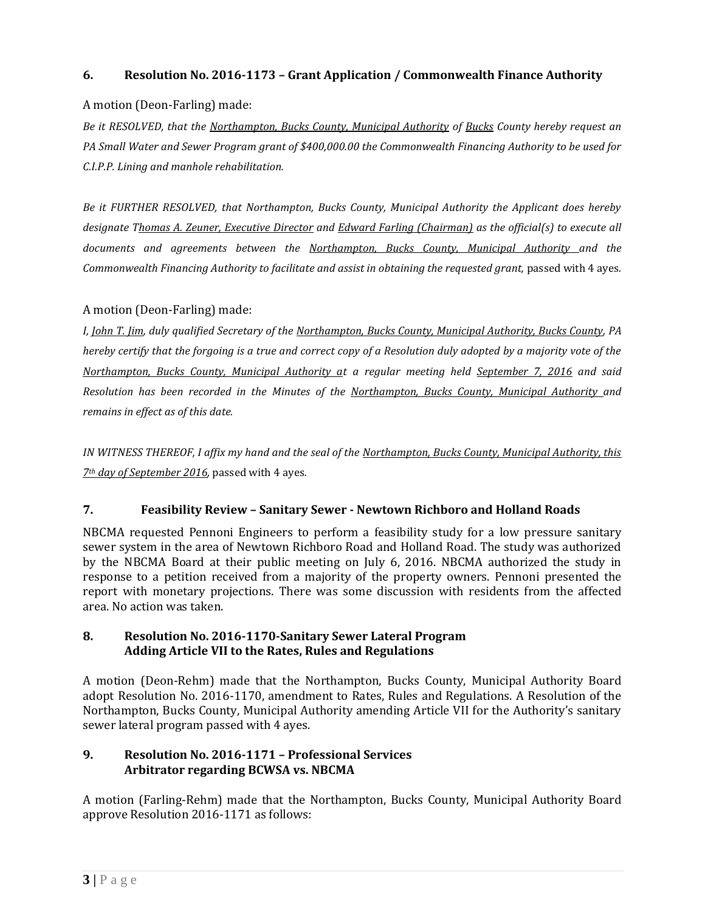# **6. Resolution No. 2016-1173 – Grant Application / Commonwealth Finance Authority**

## A motion (Deon-Farling) made:

*Be it RESOLVED, that the Northampton, Bucks County, Municipal Authority of Bucks County hereby request an PA Small Water and Sewer Program grant of \$400,000.00 the Commonwealth Financing Authority to be used for C.I.P.P. Lining and manhole rehabilitation.*

*Be it FURTHER RESOLVED, that Northampton, Bucks County, Municipal Authority the Applicant does hereby designate Thomas A. Zeuner, Executive Director and Edward Farling (Chairman) as the official(s) to execute all documents and agreements between the Northampton, Bucks County, Municipal Authority and the Commonwealth Financing Authority to facilitate and assist in obtaining the requested grant,* passed with 4 ayes*.*

## A motion (Deon-Farling) made:

*I, John T. Jim, duly qualified Secretary of the Northampton, Bucks County, Municipal Authority, Bucks County, PA hereby certify that the forgoing is a true and correct copy of a Resolution duly adopted by a majority vote of the Northampton, Bucks County, Municipal Authority at a regular meeting held September 7, 2016 and said Resolution has been recorded in the Minutes of the Northampton, Bucks County, Municipal Authority and remains in effect as of this date.*

*IN WITNESS THEREOF, I affix my hand and the seal of the Northampton, Bucks County, Municipal Authority, this 7th day of September 2016,* passed with 4 ayes*.*

# **7. Feasibility Review – Sanitary Sewer - Newtown Richboro and Holland Roads**

NBCMA requested Pennoni Engineers to perform a feasibility study for a low pressure sanitary sewer system in the area of Newtown Richboro Road and Holland Road. The study was authorized by the NBCMA Board at their public meeting on July 6, 2016. NBCMA authorized the study in response to a petition received from a majority of the property owners. Pennoni presented the report with monetary projections. There was some discussion with residents from the affected area. No action was taken.

## **8. Resolution No. 2016-1170-Sanitary Sewer Lateral Program Adding Article VII to the Rates, Rules and Regulations**

A motion (Deon-Rehm) made that the Northampton, Bucks County, Municipal Authority Board adopt Resolution No. 2016-1170, amendment to Rates, Rules and Regulations. A Resolution of the Northampton, Bucks County, Municipal Authority amending Article VII for the Authority's sanitary sewer lateral program passed with 4 ayes.

## **9. Resolution No. 2016-1171 – Professional Services Arbitrator regarding BCWSA vs. NBCMA**

A motion (Farling-Rehm) made that the Northampton, Bucks County, Municipal Authority Board approve Resolution 2016-1171 as follows: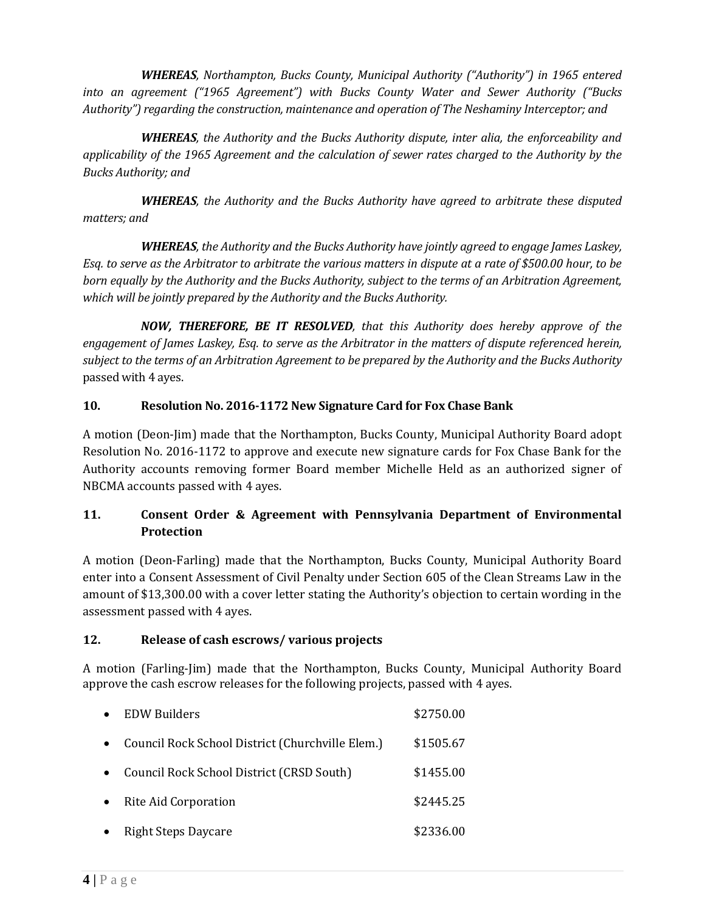*WHEREAS, Northampton, Bucks County, Municipal Authority ("Authority") in 1965 entered into an agreement ("1965 Agreement") with Bucks County Water and Sewer Authority ("Bucks Authority") regarding the construction, maintenance and operation of The Neshaminy Interceptor; and* 

*WHEREAS, the Authority and the Bucks Authority dispute, inter alia, the enforceability and applicability of the 1965 Agreement and the calculation of sewer rates charged to the Authority by the Bucks Authority; and*

*WHEREAS, the Authority and the Bucks Authority have agreed to arbitrate these disputed matters; and*

*WHEREAS, the Authority and the Bucks Authority have jointly agreed to engage James Laskey, Esq. to serve as the Arbitrator to arbitrate the various matters in dispute at a rate of \$500.00 hour, to be born equally by the Authority and the Bucks Authority, subject to the terms of an Arbitration Agreement, which will be jointly prepared by the Authority and the Bucks Authority.*

*NOW, THEREFORE, BE IT RESOLVED, that this Authority does hereby approve of the engagement of James Laskey, Esq. to serve as the Arbitrator in the matters of dispute referenced herein, subject to the terms of an Arbitration Agreement to be prepared by the Authority and the Bucks Authority* passed with 4 ayes.

# **10. Resolution No. 2016-1172 New Signature Card for Fox Chase Bank**

A motion (Deon-Jim) made that the Northampton, Bucks County, Municipal Authority Board adopt Resolution No. 2016-1172 to approve and execute new signature cards for Fox Chase Bank for the Authority accounts removing former Board member Michelle Held as an authorized signer of NBCMA accounts passed with 4 ayes.

# **11. Consent Order & Agreement with Pennsylvania Department of Environmental Protection**

A motion (Deon-Farling) made that the Northampton, Bucks County, Municipal Authority Board enter into a Consent Assessment of Civil Penalty under Section 605 of the Clean Streams Law in the amount of \$13,300.00 with a cover letter stating the Authority's objection to certain wording in the assessment passed with 4 ayes.

# **12. Release of cash escrows/ various projects**

A motion (Farling-Jim) made that the Northampton, Bucks County, Municipal Authority Board approve the cash escrow releases for the following projects, passed with 4 ayes.

|           | <b>EDW Builders</b>                              | \$2750.00 |
|-----------|--------------------------------------------------|-----------|
|           | Council Rock School District (Churchville Elem.) | \$1505.67 |
|           | Council Rock School District (CRSD South)        | \$1455.00 |
| $\bullet$ | Rite Aid Corporation                             | \$2445.25 |
|           | <b>Right Steps Daycare</b>                       | \$2336.00 |